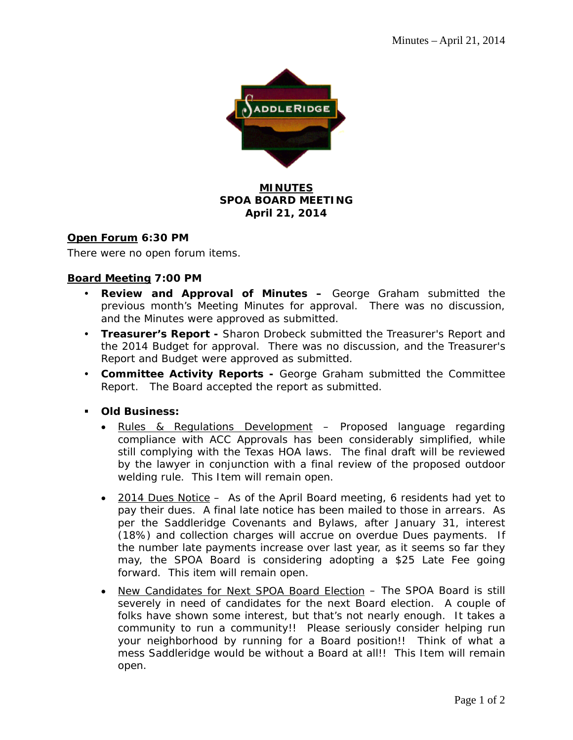

## **MINUTES SPOA BOARD MEETING April 21, 2014**

### **Open Forum 6:30 PM**

There were no open forum items.

### **Board Meeting 7:00 PM**

- **Review and Approval of Minutes –** George Graham submitted the previous month's Meeting Minutes for approval. There was no discussion, and the Minutes were approved as submitted.
- **Treasurer's Report** Sharon Drobeck submitted the Treasurer's Report and the 2014 Budget for approval. There was no discussion, and the Treasurer's Report and Budget were approved as submitted.
- **Committee Activity Reports** George Graham submitted the Committee Report. The Board accepted the report as submitted.
- **Old Business:** 
	- Rules & Regulations Development Proposed language regarding compliance with ACC Approvals has been considerably simplified, while still complying with the Texas HOA laws. The final draft will be reviewed by the lawyer in conjunction with a final review of the proposed outdoor welding rule. This Item will remain open.
	- 2014 Dues Notice As of the April Board meeting, 6 residents had yet to pay their dues. A final late notice has been mailed to those in arrears. As per the Saddleridge Covenants and Bylaws, after January 31, interest (18%) and collection charges will accrue on overdue Dues payments. If the number late payments increase over last year, as it seems so far they may, the SPOA Board is considering adopting a \$25 Late Fee going forward. This item will remain open.
	- New Candidates for Next SPOA Board Election The SPOA Board is still severely in need of candidates for the next Board election. A couple of folks have shown some interest, but that's not nearly enough. It takes a community to run a community!! Please seriously consider helping run your neighborhood by running for a Board position!! Think of what a mess Saddleridge would be without a Board at all!! This Item will remain open.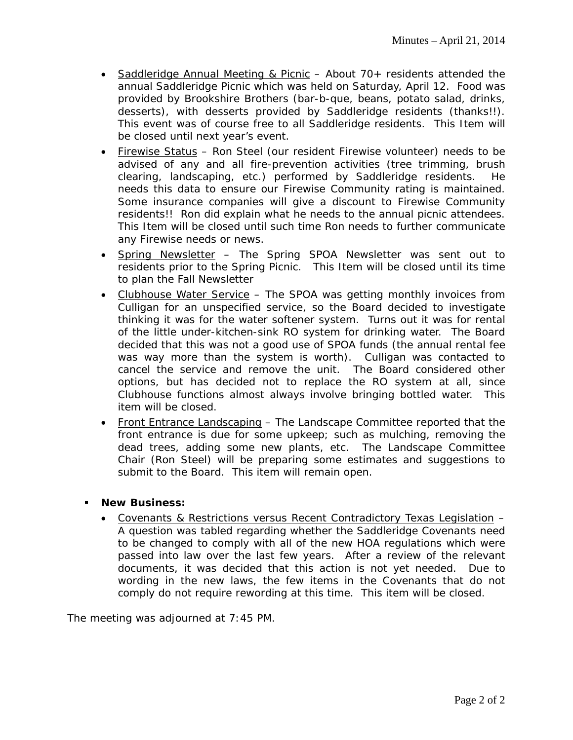- Saddleridge Annual Meeting & Picnic About 70+ residents attended the annual Saddleridge Picnic which was held on Saturday, April 12. Food was provided by Brookshire Brothers (bar-b-que, beans, potato salad, drinks, desserts), with desserts provided by Saddleridge residents (thanks!!). This event was of course free to all Saddleridge residents. This Item will be closed until next year's event.
- Firewise Status Ron Steel (our resident Firewise volunteer) needs to be advised of any and all fire-prevention activities (tree trimming, brush clearing, landscaping, etc.) performed by Saddleridge residents. He needs this data to ensure our Firewise Community rating is maintained. Some insurance companies will give a discount to Firewise Community residents!! Ron did explain what he needs to the annual picnic attendees. This Item will be closed until such time Ron needs to further communicate any Firewise needs or news.
- Spring Newsletter The Spring SPOA Newsletter was sent out to residents prior to the Spring Picnic. This Item will be closed until its time to plan the Fall Newsletter
- Clubhouse Water Service The SPOA was getting monthly invoices from Culligan for an unspecified service, so the Board decided to investigate thinking it was for the water softener system. Turns out it was for rental of the little under-kitchen-sink RO system for drinking water. The Board decided that this was not a good use of SPOA funds (the annual rental fee was way more than the system is worth). Culligan was contacted to cancel the service and remove the unit. The Board considered other options, but has decided not to replace the RO system at all, since Clubhouse functions almost always involve bringing bottled water. This item will be closed.
- Front Entrance Landscaping The Landscape Committee reported that the front entrance is due for some upkeep; such as mulching, removing the dead trees, adding some new plants, etc. The Landscape Committee Chair (Ron Steel) will be preparing some estimates and suggestions to submit to the Board. This item will remain open.
- **New Business:**
	- Covenants & Restrictions versus Recent Contradictory Texas Legislation A question was tabled regarding whether the Saddleridge Covenants need to be changed to comply with all of the new HOA regulations which were passed into law over the last few years. After a review of the relevant documents, it was decided that this action is not yet needed. Due to wording in the new laws, the few items in the Covenants that do not comply do not require rewording at this time. This item will be closed.

The meeting was adjourned at 7:45 PM.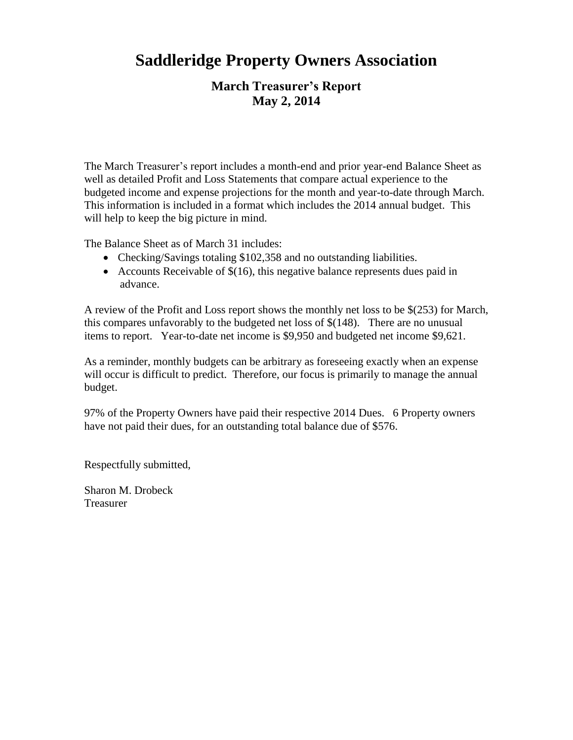# **Saddleridge Property Owners Association**

# **March Treasurer's Report May 2, 2014**

The March Treasurer's report includes a month-end and prior year-end Balance Sheet as well as detailed Profit and Loss Statements that compare actual experience to the budgeted income and expense projections for the month and year-to-date through March. This information is included in a format which includes the 2014 annual budget. This will help to keep the big picture in mind.

The Balance Sheet as of March 31 includes:

- Checking/Savings totaling \$102,358 and no outstanding liabilities.
- Accounts Receivable of  $$(16)$ , this negative balance represents dues paid in advance.

A review of the Profit and Loss report shows the monthly net loss to be \$(253) for March, this compares unfavorably to the budgeted net loss of \$(148). There are no unusual items to report. Year-to-date net income is \$9,950 and budgeted net income \$9,621.

As a reminder, monthly budgets can be arbitrary as foreseeing exactly when an expense will occur is difficult to predict. Therefore, our focus is primarily to manage the annual budget.

97% of the Property Owners have paid their respective 2014 Dues. 6 Property owners have not paid their dues, for an outstanding total balance due of \$576.

Respectfully submitted,

Sharon M. Drobeck Treasurer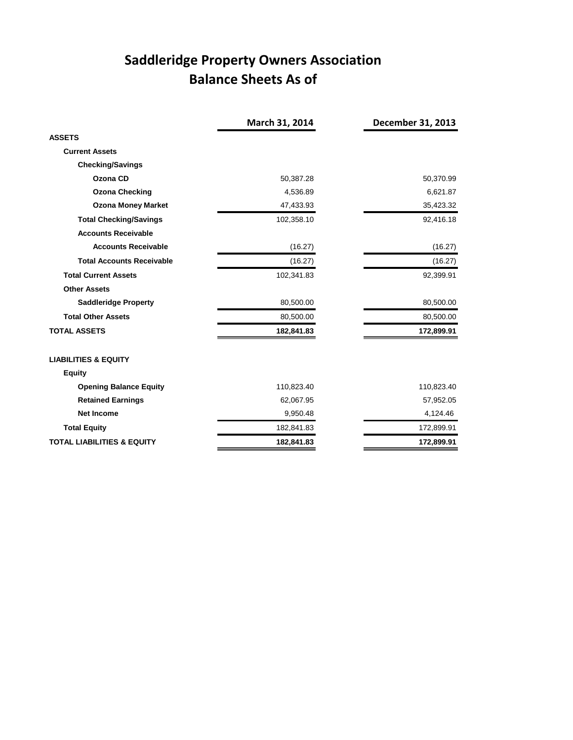# **Saddleridge Property Owners Association Balance Sheets As of**

|                                       | March 31, 2014 | December 31, 2013 |
|---------------------------------------|----------------|-------------------|
| <b>ASSETS</b>                         |                |                   |
| <b>Current Assets</b>                 |                |                   |
| <b>Checking/Savings</b>               |                |                   |
| Ozona CD                              | 50,387.28      | 50,370.99         |
| <b>Ozona Checking</b>                 | 4,536.89       | 6,621.87          |
| <b>Ozona Money Market</b>             | 47,433.93      | 35,423.32         |
| <b>Total Checking/Savings</b>         | 102,358.10     | 92,416.18         |
| <b>Accounts Receivable</b>            |                |                   |
| <b>Accounts Receivable</b>            | (16.27)        | (16.27)           |
| <b>Total Accounts Receivable</b>      | (16.27)        | (16.27)           |
| <b>Total Current Assets</b>           | 102,341.83     | 92,399.91         |
| <b>Other Assets</b>                   |                |                   |
| <b>Saddleridge Property</b>           | 80,500.00      | 80,500.00         |
| <b>Total Other Assets</b>             | 80,500.00      | 80,500.00         |
| <b>TOTAL ASSETS</b>                   | 182,841.83     | 172,899.91        |
| <b>LIABILITIES &amp; EQUITY</b>       |                |                   |
| <b>Equity</b>                         |                |                   |
| <b>Opening Balance Equity</b>         | 110,823.40     | 110,823.40        |
| <b>Retained Earnings</b>              | 62,067.95      | 57,952.05         |
| <b>Net Income</b>                     | 9,950.48       | 4,124.46          |
| <b>Total Equity</b>                   | 182,841.83     | 172,899.91        |
| <b>TOTAL LIABILITIES &amp; EQUITY</b> | 182,841.83     | 172,899.91        |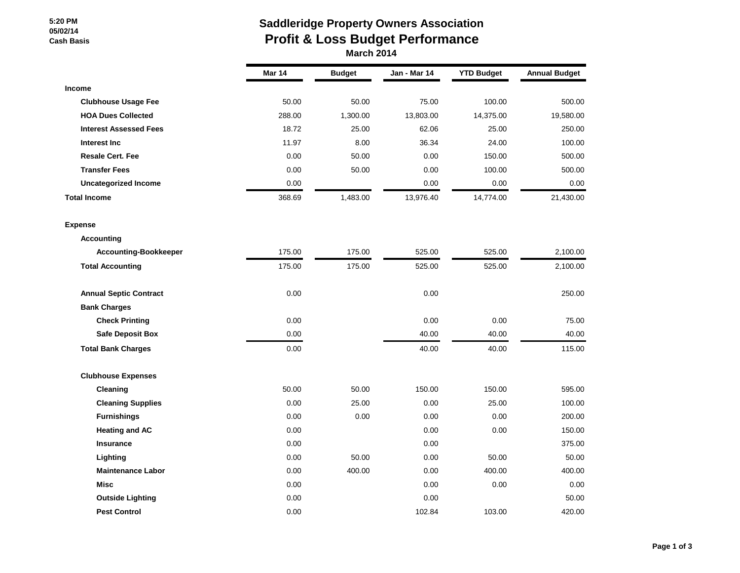#### **5:20 PM 05/02/14 Cash Basis**

## **Saddleridge Property Owners Association Profit & Loss Budget Performance March 2014**

|                               | <b>Mar 14</b> | <b>Budget</b> | Jan - Mar 14 | <b>YTD Budget</b> | <b>Annual Budget</b> |
|-------------------------------|---------------|---------------|--------------|-------------------|----------------------|
| <b>Income</b>                 |               |               |              |                   |                      |
| <b>Clubhouse Usage Fee</b>    | 50.00         | 50.00         | 75.00        | 100.00            | 500.00               |
| <b>HOA Dues Collected</b>     | 288.00        | 1,300.00      | 13,803.00    | 14,375.00         | 19,580.00            |
| <b>Interest Assessed Fees</b> | 18.72         | 25.00         | 62.06        | 25.00             | 250.00               |
| Interest Inc                  | 11.97         | 8.00          | 36.34        | 24.00             | 100.00               |
| <b>Resale Cert. Fee</b>       | 0.00          | 50.00         | 0.00         | 150.00            | 500.00               |
| <b>Transfer Fees</b>          | 0.00          | 50.00         | 0.00         | 100.00            | 500.00               |
| <b>Uncategorized Income</b>   | 0.00          |               | 0.00         | 0.00              | 0.00                 |
| <b>Total Income</b>           | 368.69        | 1,483.00      | 13,976.40    | 14,774.00         | 21,430.00            |
| <b>Expense</b>                |               |               |              |                   |                      |
| <b>Accounting</b>             |               |               |              |                   |                      |
| <b>Accounting-Bookkeeper</b>  | 175.00        | 175.00        | 525.00       | 525.00            | 2,100.00             |
| <b>Total Accounting</b>       | 175.00        | 175.00        | 525.00       | 525.00            | 2,100.00             |
| <b>Annual Septic Contract</b> | 0.00          |               | 0.00         |                   | 250.00               |
| <b>Bank Charges</b>           |               |               |              |                   |                      |
| <b>Check Printing</b>         | 0.00          |               | 0.00         | 0.00              | 75.00                |
| <b>Safe Deposit Box</b>       | 0.00          |               | 40.00        | 40.00             | 40.00                |
| <b>Total Bank Charges</b>     | 0.00          |               | 40.00        | 40.00             | 115.00               |
| <b>Clubhouse Expenses</b>     |               |               |              |                   |                      |
| Cleaning                      | 50.00         | 50.00         | 150.00       | 150.00            | 595.00               |
| <b>Cleaning Supplies</b>      | 0.00          | 25.00         | 0.00         | 25.00             | 100.00               |
| <b>Furnishings</b>            | 0.00          | 0.00          | 0.00         | 0.00              | 200.00               |
| <b>Heating and AC</b>         | 0.00          |               | 0.00         | 0.00              | 150.00               |
| <b>Insurance</b>              | 0.00          |               | 0.00         |                   | 375.00               |
| Lighting                      | 0.00          | 50.00         | 0.00         | 50.00             | 50.00                |
| <b>Maintenance Labor</b>      | 0.00          | 400.00        | 0.00         | 400.00            | 400.00               |
| <b>Misc</b>                   | 0.00          |               | 0.00         | 0.00              | 0.00                 |
| <b>Outside Lighting</b>       | 0.00          |               | 0.00         |                   | 50.00                |
| <b>Pest Control</b>           | 0.00          |               | 102.84       | 103.00            | 420.00               |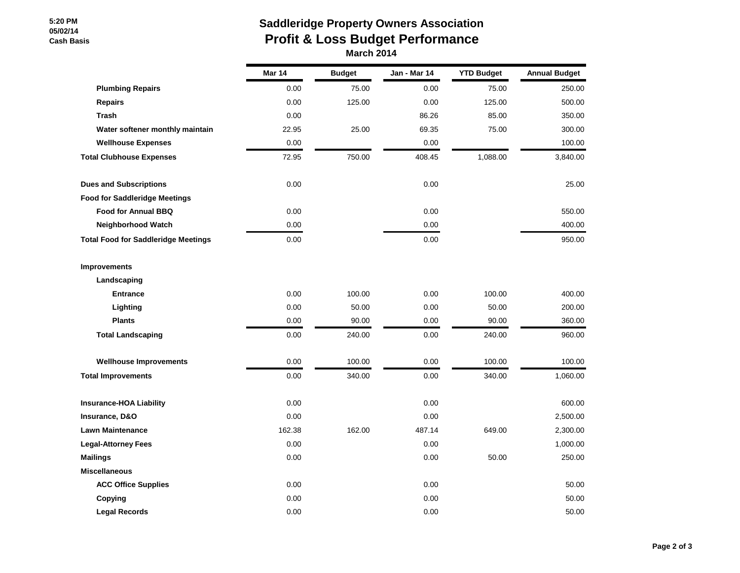#### **5:20 PM 05/02/14 Cash Basis**

## **Saddleridge Property Owners Association Profit & Loss Budget Performance March 2014**

|                                            | Mar 14 | <b>Budget</b> | Jan - Mar 14 | <b>YTD Budget</b> | <b>Annual Budget</b> |
|--------------------------------------------|--------|---------------|--------------|-------------------|----------------------|
| <b>Plumbing Repairs</b>                    | 0.00   | 75.00         | 0.00         | 75.00             | 250.00               |
| <b>Repairs</b>                             | 0.00   | 125.00        | 0.00         | 125.00            | 500.00               |
| <b>Trash</b>                               | 0.00   |               | 86.26        | 85.00             | 350.00               |
| Water softener monthly maintain            | 22.95  | 25.00         | 69.35        | 75.00             | 300.00               |
| <b>Wellhouse Expenses</b>                  | 0.00   |               | 0.00         |                   | 100.00               |
| <b>Total Clubhouse Expenses</b>            | 72.95  | 750.00        | 408.45       | 1,088.00          | 3,840.00             |
| <b>Dues and Subscriptions</b>              | 0.00   |               | 0.00         |                   | 25.00                |
| <b>Food for Saddleridge Meetings</b>       |        |               |              |                   |                      |
| <b>Food for Annual BBQ</b>                 | 0.00   |               | 0.00         |                   | 550.00               |
| Neighborhood Watch                         | 0.00   |               | 0.00         |                   | 400.00               |
| <b>Total Food for Saddleridge Meetings</b> | 0.00   |               | 0.00         |                   | 950.00               |
| <b>Improvements</b>                        |        |               |              |                   |                      |
| Landscaping                                |        |               |              |                   |                      |
| <b>Entrance</b>                            | 0.00   | 100.00        | 0.00         | 100.00            | 400.00               |
| Lighting                                   | 0.00   | 50.00         | 0.00         | 50.00             | 200.00               |
| <b>Plants</b>                              | 0.00   | 90.00         | 0.00         | 90.00             | 360.00               |
| <b>Total Landscaping</b>                   | 0.00   | 240.00        | 0.00         | 240.00            | 960.00               |
| <b>Wellhouse Improvements</b>              | 0.00   | 100.00        | 0.00         | 100.00            | 100.00               |
| <b>Total Improvements</b>                  | 0.00   | 340.00        | 0.00         | 340.00            | 1,060.00             |
| <b>Insurance-HOA Liability</b>             | 0.00   |               | 0.00         |                   | 600.00               |
| Insurance, D&O                             | 0.00   |               | 0.00         |                   | 2,500.00             |
| <b>Lawn Maintenance</b>                    | 162.38 | 162.00        | 487.14       | 649.00            | 2,300.00             |
| <b>Legal-Attorney Fees</b>                 | 0.00   |               | 0.00         |                   | 1,000.00             |
| <b>Mailings</b>                            | 0.00   |               | 0.00         | 50.00             | 250.00               |
| <b>Miscellaneous</b>                       |        |               |              |                   |                      |
| <b>ACC Office Supplies</b>                 | 0.00   |               | 0.00         |                   | 50.00                |
| Copying                                    | 0.00   |               | 0.00         |                   | 50.00                |
| <b>Legal Records</b>                       | 0.00   |               | 0.00         |                   | 50.00                |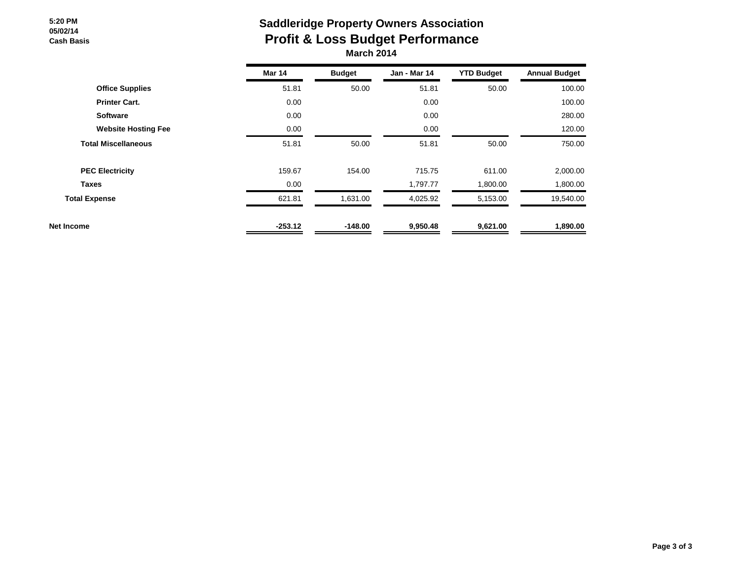#### **5:20 PM 05/02/14 Cash Basis**

## **Saddleridge Property Owners Association Profit & Loss Budget Performance March 2014**

|                            | <b>Mar 14</b> | <b>Budget</b> | <b>Jan - Mar 14</b> | <b>YTD Budget</b> | <b>Annual Budget</b> |
|----------------------------|---------------|---------------|---------------------|-------------------|----------------------|
| <b>Office Supplies</b>     | 51.81         | 50.00         | 51.81               | 50.00             | 100.00               |
| <b>Printer Cart.</b>       | 0.00          |               | 0.00                |                   | 100.00               |
| <b>Software</b>            | 0.00          |               | 0.00                |                   | 280.00               |
| <b>Website Hosting Fee</b> | 0.00          |               | 0.00                |                   | 120.00               |
| <b>Total Miscellaneous</b> | 51.81         | 50.00         | 51.81               | 50.00             | 750.00               |
| <b>PEC Electricity</b>     | 159.67        | 154.00        | 715.75              | 611.00            | 2,000.00             |
| <b>Taxes</b>               | 0.00          |               | 1,797.77            | 1,800.00          | 1,800.00             |
| <b>Total Expense</b>       | 621.81        | 1,631.00      | 4,025.92            | 5,153.00          | 19,540.00            |
| Net Income                 | $-253.12$     | $-148.00$     | 9,950.48            | 9,621.00          | 1,890.00             |